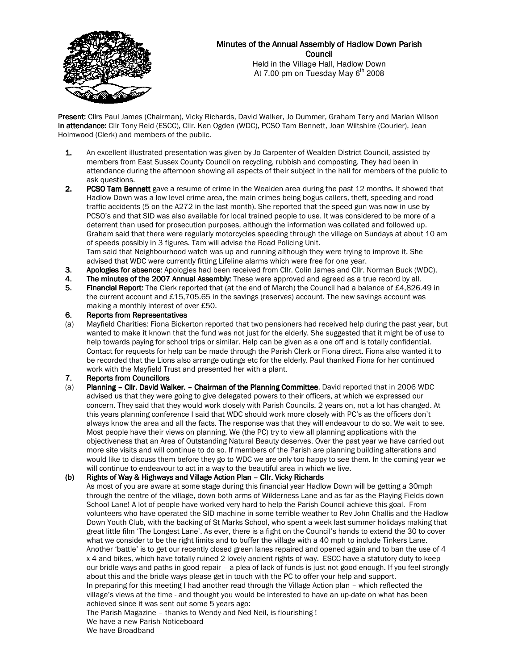

# Minutes of the Annual Assembly of Hadlow Down Parish **Council**

Held in the Village Hall, Hadlow Down At 7.00 pm on Tuesday May  $6<sup>th</sup>$  2008

Present: Cllrs Paul James (Chairman), Vicky Richards, David Walker, Jo Dummer, Graham Terry and Marian Wilson In attendance: Cllr Tony Reid (ESCC), Cllr. Ken Ogden (WDC), PCSO Tam Bennett, Joan Wiltshire (Courier), Jean Holmwood (Clerk) and members of the public.

- 1. An excellent illustrated presentation was given by Jo Carpenter of Wealden District Council, assisted by members from East Sussex County Council on recycling, rubbish and composting. They had been in attendance during the afternoon showing all aspects of their subject in the hall for members of the public to ask questions.
- 2. PCSO Tam Bennett gave a resume of crime in the Wealden area during the past 12 months. It showed that Hadlow Down was a low level crime area, the main crimes being bogus callers, theft, speeding and road traffic accidents (5 on the A272 in the last month). She reported that the speed gun was now in use by PCSO's and that SID was also available for local trained people to use. It was considered to be more of a deterrent than used for prosecution purposes, although the information was collated and followed up. Graham said that there were regularly motorcycles speeding through the village on Sundays at about 10 am of speeds possibly in 3 figures. Tam will advise the Road Policing Unit. Tam said that Neighbourhood watch was up and running although they were trying to improve it. She advised that WDC were currently fitting Lifeline alarms which were free for one year.
- 3. Apologies for absence: Apologies had been received from Cllr. Colin James and Cllr. Norman Buck (WDC).
- 4. The minutes of the 2007 Annual Assembly: These were approved and agreed as a true record by all.<br>5. Financial Report: The Clerk reported that (at the end of March) the Council had a balance of £4.826.
- Financial Report: The Clerk reported that (at the end of March) the Council had a balance of £4,826.49 in the current account and £15,705.65 in the savings (reserves) account. The new savings account was making a monthly interest of over £50.
- 6. Reports from Representatives
- (a) Mayfield Charities: Fiona Bickerton reported that two pensioners had received help during the past year, but wanted to make it known that the fund was not just for the elderly. She suggested that it might be of use to help towards paying for school trips or similar. Help can be given as a one off and is totally confidential. Contact for requests for help can be made through the Parish Clerk or Fiona direct. Fiona also wanted it to be recorded that the Lions also arrange outings etc for the elderly. Paul thanked Fiona for her continued work with the Mayfield Trust and presented her with a plant.
- 7. Reports from Councillors
- (a) Planning Cllr. David Walker. Chairman of the Planning Committee. David reported that in 2006 WDC advised us that they were going to give delegated powers to their officers, at which we expressed our concern. They said that they would work closely with Parish Councils. 2 years on, not a lot has changed. At this years planning conference I said that WDC should work more closely with PC's as the officers don't always know the area and all the facts. The response was that they will endeavour to do so. We wait to see. Most people have their views on planning. We (the PC) try to view all planning applications with the objectiveness that an Area of Outstanding Natural Beauty deserves. Over the past year we have carried out more site visits and will continue to do so. If members of the Parish are planning building alterations and would like to discuss them before they go to WDC we are only too happy to see them. In the coming year we will continue to endeavour to act in a way to the beautiful area in which we live.

# (b) Rights of Way & Highways and Village Action Plan - Cllr. Vicky Richards

As most of you are aware at some stage during this financial year Hadlow Down will be getting a 30mph through the centre of the village, down both arms of Wilderness Lane and as far as the Playing Fields down School Lane! A lot of people have worked very hard to help the Parish Council achieve this goal. From volunteers who have operated the SID machine in some terrible weather to Rev John Challis and the Hadlow Down Youth Club, with the backing of St Marks School, who spent a week last summer holidays making that great little film 'The Longest Lane'. As ever, there is a fight on the Council's hands to extend the 30 to cover what we consider to be the right limits and to buffer the village with a 40 mph to include Tinkers Lane. Another 'battle' is to get our recently closed green lanes repaired and opened again and to ban the use of 4 x 4 and bikes, which have totally ruined 2 lovely ancient rights of way. ESCC have a statutory duty to keep our bridle ways and paths in good repair – a plea of lack of funds is just not good enough. If you feel strongly about this and the bridle ways please get in touch with the PC to offer your help and support. In preparing for this meeting I had another read through the Village Action plan – which reflected the village's views at the time - and thought you would be interested to have an up-date on what has been achieved since it was sent out some 5 years ago:

The Parish Magazine – thanks to Wendy and Ned Neil, is flourishing ! We have a new Parish Noticeboard

We have Broadband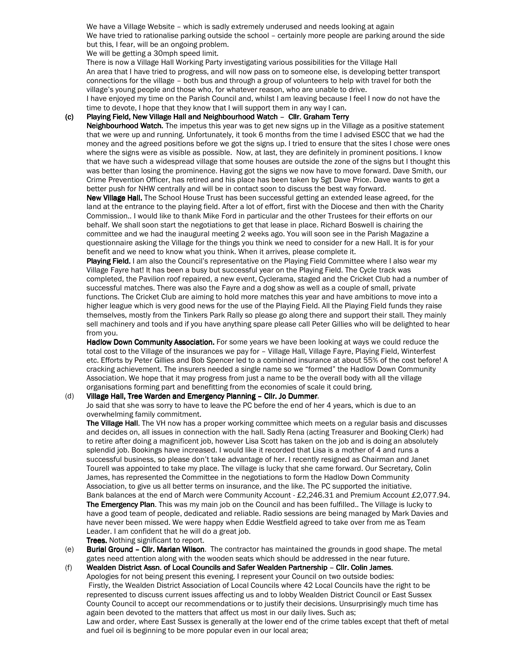We have a Village Website – which is sadly extremely underused and needs looking at again We have tried to rationalise parking outside the school – certainly more people are parking around the side but this, I fear, will be an ongoing problem.

We will be getting a 30mph speed limit.

There is now a Village Hall Working Party investigating various possibilities for the Village Hall An area that I have tried to progress, and will now pass on to someone else, is developing better transport connections for the village – both bus and through a group of volunteers to help with travel for both the village's young people and those who, for whatever reason, who are unable to drive.

I have enjoyed my time on the Parish Council and, whilst I am leaving because I feel I now do not have the time to devote, I hope that they know that I will support them in any way I can.

## (c) Playing Field, New Village Hall and Neighbourhood Watch - Cllr. Graham Terry

Neighbourhood Watch. The impetus this year was to get new signs up in the Village as a positive statement that we were up and running. Unfortunately, it took 6 months from the time I advised ESCC that we had the money and the agreed positions before we got the signs up. I tried to ensure that the sites I chose were ones where the signs were as visible as possible. Now, at last, they are definitely in prominent positions. I know that we have such a widespread village that some houses are outside the zone of the signs but I thought this was better than losing the prominence. Having got the signs we now have to move forward. Dave Smith, our Crime Prevention Officer, has retired and his place has been taken by Sgt Dave Price. Dave wants to get a better push for NHW centrally and will be in contact soon to discuss the best way forward.

New Village Hall. The School House Trust has been successful getting an extended lease agreed, for the land at the entrance to the playing field. After a lot of effort, first with the Diocese and then with the Charity Commission.. I would like to thank Mike Ford in particular and the other Trustees for their efforts on our behalf. We shall soon start the negotiations to get that lease in place. Richard Boswell is chairing the committee and we had the inaugural meeting 2 weeks ago. You will soon see in the Parish Magazine a questionnaire asking the Village for the things you think we need to consider for a new Hall. It is for your benefit and we need to know what you think. When it arrives, please complete it.

Playing Field. I am also the Council's representative on the Playing Field Committee where I also wear my Village Fayre hat! It has been a busy but successful year on the Playing Field. The Cycle track was completed, the Pavilion roof repaired, a new event, Cyclerama, staged and the Cricket Club had a number of successful matches. There was also the Fayre and a dog show as well as a couple of small, private functions. The Cricket Club are aiming to hold more matches this year and have ambitions to move into a higher league which is very good news for the use of the Playing Field. All the Playing Field funds they raise themselves, mostly from the Tinkers Park Rally so please go along there and support their stall. They mainly sell machinery and tools and if you have anything spare please call Peter Gillies who will be delighted to hear from you.

Hadlow Down Community Association. For some years we have been looking at ways we could reduce the total cost to the Village of the insurances we pay for – Village Hall, Village Fayre, Playing Field, Winterfest etc. Efforts by Peter Gillies and Bob Spencer led to a combined insurance at about 55% of the cost before! A cracking achievement. The insurers needed a single name so we "formed" the Hadlow Down Community Association. We hope that it may progress from just a name to be the overall body with all the village organisations forming part and benefitting from the economies of scale it could bring.

#### (d) Village Hall, Tree Warden and Emergency Planning - Cllr. Jo Dummer.

 Jo said that she was sorry to have to leave the PC before the end of her 4 years, which is due to an overwhelming family commitment.

The Village Hall. The VH now has a proper working committee which meets on a regular basis and discusses and decides on, all issues in connection with the hall. Sadly Rena (acting Treasurer and Booking Clerk) had to retire after doing a magnificent job, however Lisa Scott has taken on the job and is doing an absolutely splendid job. Bookings have increased. I would like it recorded that Lisa is a mother of 4 and runs a successful business, so please don't take advantage of her. I recently resigned as Chairman and Janet Tourell was appointed to take my place. The village is lucky that she came forward. Our Secretary, Colin James, has represented the Committee in the negotiations to form the Hadlow Down Community Association, to give us all better terms on insurance, and the like. The PC supported the initiative. Bank balances at the end of March were Community Account- £2,246.31 and Premium Account £2,077.94. The Emergency Plan. This was my main job on the Council and has been fulfilled.. The Village is lucky to have a good team of people, dedicated and reliable. Radio sessions are being managed by Mark Davies and have never been missed. We were happy when Eddie Westfield agreed to take over from me as Team Leader. I am confident that he will do a great job. Trees. Nothing significant to report.

(e) Burial Ground – Cllr. Marian Wilson. The contractor has maintained the grounds in good shape. The metal gates need attention along with the wooden seats which should be addressed in the near future.

(f) Wealden District Assn. of Local Councils and Safer Wealden Partnership - Cllr. Colin James. Apologies for not being present this evening. I represent your Council on two outside bodies: Firstly, the Wealden District Association of Local Councils where 42 Local Councils have the right to be represented to discuss current issues affecting us and to lobby Wealden District Council or East Sussex County Council to accept our recommendations or to justify their decisions. Unsurprisingly much time has again been devoted to the matters that affect us most in our daily lives. Such as; Law and order, where East Sussex is generally at the lower end of the crime tables except that theft of metal and fuel oil is beginning to be more popular even in our local area;